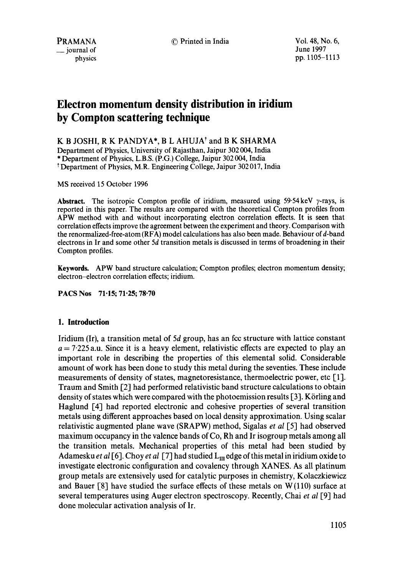© Printed in India Vol. 48, No. 6,

June 1997 pp. 1105-1113

# **Electron momentum density distribution in iridium by Compton scattering technique**

K B JOSHI, R K PANDYA\*, B L AHUJA<sup>†</sup> and B K SHARMA

Department of Physics, University of Rajasthan, Jaipur 302 004, India \* Department of Physics, L.B.S. (P.G.) College, Jaipur 302 004, India t Department of Physics, M.R. Engineering College, Jaipur 302 017, India

MS received 15 October 1996

**Abstract.** The isotropic Compton profile of iridium, measured using  $59.54 \text{ keV } \gamma$ -rays, is reported in this paper. The results are compared with the theoretical Compton profiles from APW method with and without incorporating electron correlation effects. It is seen that correlation effects improve the agreement between the experiment and theory. Comparison with the renormalized-free-atom (RFA) model calculations has also been made. Behaviour of d-band electrons in Ir and some other 5d transition metals is discussed in terms of broadening in their Compton profiles.

**Keywords.** APW band structure calculation; Compton profiles; electron momentum density; electron-electron correlation effects; iridium.

PACS Nos 71.15; 71.25; 78.70

# **1. Introduction**

Iridium (Ir), a transition metal of  $5d$  group, has an fcc structure with lattice constant  $a = 7.225$  a.u. Since it is a heavy element, relativistic effects are expected to play an important role in describing the properties of this elemental solid. Considerable amount of work has been done to study this metal during the seventies. These include measurements of density of states, magnetoresistance, thermoelectric power, etc [1]. Traum and Smith [2] had performed relativistic band structure calculations to obtain density of states which were compared with the photoemission results  $[3]$ . Körling and Haglund [4] had reported electronic and cohesive properties of several transition metals using different approaches based on local density approximation. Using scalar relativistic augmented plane wave (SRAPW) method, Sigalas *et al* [5] had observed maximum occupancy in the valence bands of Co, Rh and Ir isogroup metals among all the transition metals. Mechanical properties of this metal had been studied by Adamesku *et al* [6]. Choy *et al* [7] had studied  $L_m$  edge of this metal in iridium oxide to investigate electronic configuration and covalency through XANES. As all platinum group metals are extensively used for catalytic purposes in chemistry, Kolaczkiewicz and Bauer [8] have studied the surface effects of these metals on W (110) surface at several temperatures using Auger electron spectroscopy. Recently, Chai *et al* [9] had done molecular activation analysis of Ir.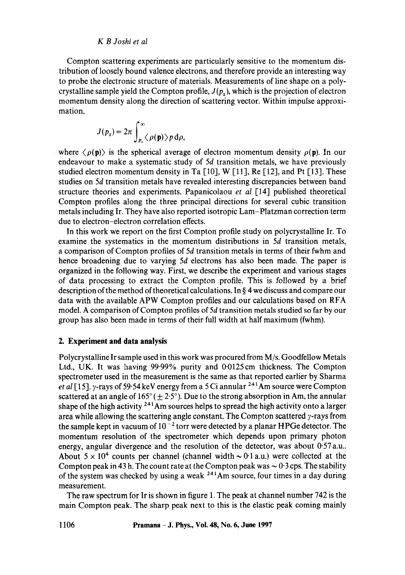#### *K B Joshi et al*

Compton scattering experiments are particularly sensitive to the momentum distribution of loosely bound valence electrons, and therefore provide an interesting way to probe the electronic structure of materials. Measurements of line shape on a polycrystalline sample yield the Compton profile,  $J(p_x)$ , which is the projection of electron momentum density along the direction of scattering vector. Within impulse approximation,

$$
J(p_z) = 2\pi \int_{p_z}^{\infty} \langle \rho(\mathbf{p}) \rangle p \,d\rho,
$$

where  $\langle \rho(\mathbf{p}) \rangle$  is the spherical average of electron momentum density  $\rho(\mathbf{p})$ . In our endeavour to make a systematic study of 5d transition metals, we have previously studied electron momentum density in Ta [10], W [11], Re [12], and Pt [13]. These studies on 5d transition metals have revealed interesting discrepancies between band structure theories and experiments. Papanicolaou *et aI* [14] published theoretical Compton profiles along the three principal directions for several cubic transition metals including Ir. They have also reported isotropic Lam-Platzman correction term due to electron-electron correlation effects.

In this work we report on the first Compton profile study on polycrystalline Ir. To examine the systematics in the momentum distributions in 5d transition metals, a comparison of Compton profiles of 5d transition metals in terms of their fwhm and hence broadening due to varying 5d electrons has also been made. The paper is organized in the following way. First, we describe the experiment and various stages of data processing to extract the Compton profile. This is followed by a brief description of the method of theoretical calculations. In § 4 we discuss and compare our data with the available APW Compton profiles and our calculations based on RFA model. A comparison of Compton profiles of 5d transition metals studied so far by our group has also been made in terms of their full width at half maximum (fwhm).

#### **2. Experiment and data analysis**

Polycrystalline Ir sample used in this work was procured from M/s. Goodfellow Metals Ltd., UK. It was having 99.99% purity and 0.0125cm thickness. The Compton spectrometer used in the measurement is the same as that reported earlier by Sharma *et al* [15]. y-rays of 59.54 keV energy from a 5 Ci annular <sup>241</sup>Am source were Compton scattered at an angle of  $165^{\circ}$  ( $\pm 2.5^{\circ}$ ). Due to the strong absorption in Am, the annular shape of the high activity <sup>241</sup>Am sources helps to spread the high activity onto a larger area while allowing the scattering angle constant. The Compton scattered  $\gamma$ -rays from the sample kept in vacuum of  $10^{-2}$  torr were detected by a planar HPGe detector. The momentum resolution of the spectrometer which depends upon primary photon energy, angular divergence and the resolution of the detector, was about 0.57 a.u.. About  $5 \times 10^4$  counts per channel (channel width  $\sim 0.1$  a.u.) were collected at the Compton peak in 43 h. The count rate at the Compton peak was  $\sim 0.3$  cps. The stability of the system was checked by using a weak  $241$ Am source, four times in a day during measurement.

The raw spectrum for Ir is shown in figure 1. The peak at channel number 742 is the main Compton peak. The sharp peak next to this is the elastic peak coming mainly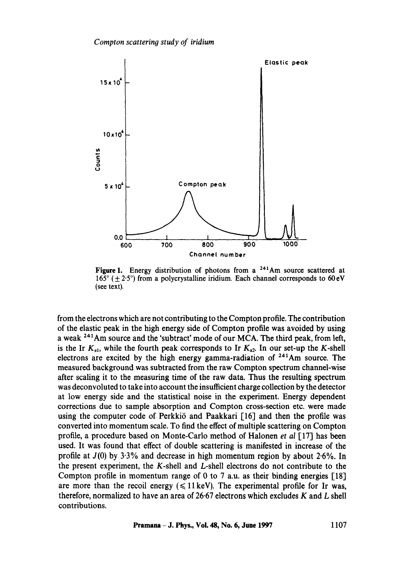

Figure 1. Energy distribution of photons from a <sup>241</sup>Am source scattered at 165 $\degree$  ( $\pm$  2.5 $\degree$ ) from a polycrystalline iridium. Each channel corresponds to 60 eV (see text).

from the electrons which are not contributing to the Compton profile. The contribution of the elastic peak in the high energy side of Compton profile was avoided by using a weak <sup>241</sup>Am source and the 'subtract' mode of our MCA. The third peak, from left, is the Ir  $K_{a1}$ , while the fourth peak corresponds to Ir  $K_{a2}$ . In our set-up the K-shell electrons are excited by the high energy gamma-radiation of  $241$ Am source. The measured background was subtracted from the raw Compton spectrum channel-wise after scaling it to the measuring time of the raw data. Thus the resulting spectrum was deconvoluted to take into account the insufficient charge collection by the detector at low energy side and the statistical noise in the experiment. Energy dependent corrections due to sample absorption and Compton cross-section etc. were made using the computer code of Perkki $\ddot{o}$  and Paakkari [16] and then the profile was converted into momentum scale. To find the effect of multiple scattering on Compton profile, a procedure based on Monte-Carlo method of Halonen *et al* [17] has been used. It was found that effect of double scattering is manifested in increase of the profile at  $J(0)$  by 3.3% and decrease in high momentum region by about 2.6%. In the present experiment, the K-shell and L-shell electrons do not contribute to the Compton profile in momentum range of 0 to 7 a.u. as their binding energies  $[18]$ are more than the recoil energy  $(\leq 11 \,\text{keV})$ . The experimental profile for Ir was, therefore, normalized to have an area of 26.67 electrons which excludes  $K$  and  $L$  shell contributions.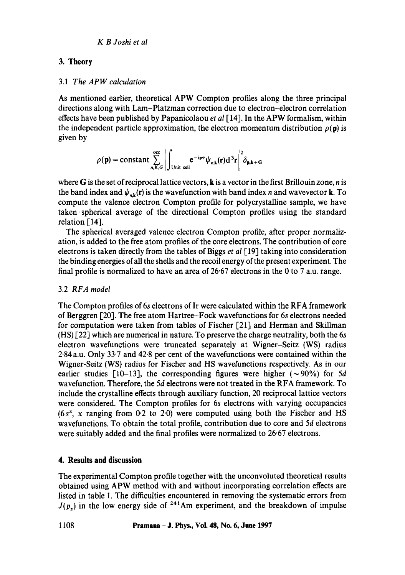# 3. **Theory**

## 3.1 *The APW calculation*

As mentioned earlier, theoretical APW Compton profiles along the three principal directions along with Lam-Platzman correction due to electron-electron correlation effects have been published by Papanicolaou *et al* [14]. In the APW formalism, within the independent particle approximation, the electron momentum distribution  $\rho(\mathbf{p})$  is given by

$$
\rho(\mathbf{p}) = \text{constant} \sum_{n,K,G}^{\text{occ}} \left| \int_{\text{Unit cell}} \mathbf{e}^{-i\mathbf{p}\cdot\mathbf{r}} \psi_{n,k}(\mathbf{r}) d^3\mathbf{r} \right|^2 \delta_{\mathbf{p},\mathbf{k}+\mathbf{G}}
$$

where G is the set of reciprocal lattice vectors,  $\bf{k}$  is a vector in the first Brillouin zone, *n* is the band index and  $\psi_{n,k}(r)$  is the wavefunction with band index n and wavevector k. To compute the valence electron Compton profile for polycrystalline sample, we have taken-spherical average of the directional Compton profiles using the standard relation [14].

The spherical averaged valence electron Compton profile, after proper normalization, is added to the free atom profiles of the core electrons. The contribution of core electrons is taken directly from the tables of Biggs *et al* [19] taking into consideration the binding energies of all the shells and the recoil energy of the present experiment. The final profile is normalized to have an area of 26.67 electrons in the 0 to 7 a.u. range.

# 3.2 *RFA model*

The Compton profiles of 6s electrons of Ir were calculated within the RFA framework of Berggren [20]. The free atom Hartree-Fock wavefunctions for 6s electrons needed for computation were taken from tables of Fischer [21] and Herman and Skillman (HS) [22] which are numerical in nature. To preserve the charge neutrality, both the 6s electron wavefunctions were truncated separately at Wigner-Seitz (WS) radius 2"84 a.u. Only 33.7 and 42.8 per cent of the wavefunctions were contained within the Wigner-Seitz (WS) radius for Fischer and HS wavefunctions respectively. As in our earlier studies [10-13], the corresponding figures were higher ( $\sim$ 90%) for 5d wavefunction. Therefore, the 5d electrons were not treated in the RFA framework. To include the crystalline effects through auxiliary function, 20 reciprocal lattice vectors were considered. The Compton profiles for 6s electrons with varying occupancies  $(6s<sup>x</sup>, x ranging from 0.2 to 2.0) were computed using both the Fischer and HS$ wavefunctions. To obtain the total profile, contribution due to core and 5d electrons were suitably added and the final profiles were normalized to 26.67 electrons.

# **4. Results and discussion**

The experimental Compton profile together with the unconvoluted theoretical results obtained using APW method with and without incorporating correlation effects are listed in table 1. The difficulties encountered in removing the systematic errors from  $J(p<sub>z</sub>)$  in the low energy side of <sup>241</sup>Am experiment, and the breakdown of impulse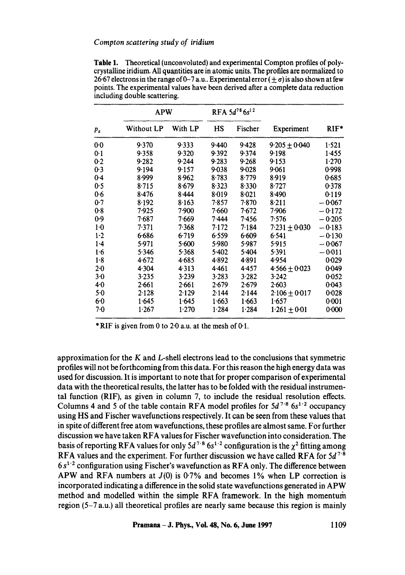|       | <b>APW</b> |         | RFA $5d^{78}$ $6s^{12}$ |           |                   |          |
|-------|------------|---------|-------------------------|-----------|-------------------|----------|
| $p_z$ | Without LP | With LP | HS                      | Fischer   | Experiment        | $RIF*$   |
| $0-0$ | 9.370      | 9.333   | 9.440                   | 9.428     | $9.205 \pm 0.040$ | 1.521    |
| 0.1   | 9.358      | 9.320   | 9.392                   | 9.374     | 9.198             | 1.455    |
| 0.2   | 9.282      | 9.244   | 9.283                   | 9.268     | 9.153             | 1.270    |
| 0.3   | 9.194      | 9.157   | $9 - 038$               | 9.028     | 9.061             | 0.998    |
| 0.4   | 8.999      | 8.962   | 8.783                   | 8.779     | 8.919             | 0.685    |
| 0.5   | 8.715      | 8.679   | 8.323                   | 8.330     | 8.727             | 0.378    |
| 0.6   | 8.476      | 8.444   | $8 - 019$               | $8 - 021$ | 8.490             | 0.119    |
| 0.7   | 8.192      | 8.163   | 7.857                   | 7.870     | 8.211             | $-0.067$ |
| 0.8   | 7.925      | 7.900   | 7.660                   | 7·672     | 7.906             | $-0.172$ |
| 0.9   | 7.687      | 7.669   | 7.444                   | 7.456     | 7.576             | $-0.205$ |
| $1-0$ | 7.371      | 7.368   | 7.172                   | 7.184     | $7.231 + 0.030$   | $-0.183$ |
| $1-2$ | 6.686      | 6.719   | 6.559                   | 6.609     | 6.541             | $-0.130$ |
| $1-4$ | 5.971      | 5.600   | 5.980                   | 5.987     | 5.915             | $-0.067$ |
| 1.6   | 5.346      | 5.368   | 5.402                   | 5.404     | 5.391             | -0011    |
| 1.8   | 4.672      | 4.685   | 4.892                   | 4.891     | 4.954             | 0.029    |
| $2-0$ | 4.304      | 4.313   | 4.461                   | 4.457     | $4.566 + 0.023$   | 0.049    |
| 3.0   | 3.235      | 3.239   | 3.283                   | 3.282     | 3.242             | 0.052    |
| 40    | 2.661      | 2.661   | 2.679                   | 2.679     | 2.603             | 0.043    |
| 5.0   | 2.128      | 2.129   | 2.144                   | 2.144     | $2.106 + 0.017$   | 0.028    |
| 6.0   | 1.645      | 1.645   | 1.663                   | 1.663     | 1.657             | 0:001    |
| 7.0   | 1.267      | 1.270   | 1.284                   | 1.284     | $1.261 + 0.01$    | 0.000    |

**Table** 1. Theoretical (unconvoluted) and experimental Compton profiles of polycrystalline iridium. All quantities are in atomic units. The profiles are normalized to 26.67 electrons in the range of 0-7 a.u.. Experimental error  $(+\sigma)$  is also shown at few points. The experimental values have been derived after a complete data reduction including double scattering.

\*RIF is given from 0 to 2 $\cdot$ 0 a.u. at the mesh of 0 $\cdot$ 1.

approximation for the  $K$  and  $L$ -shell electrons lead to the conclusions that symmetric profiles will not be forthcoming from this data. For this reason the high energy data was used for discussion. It is important to note that for proper comparison of experimental data with the theoretical results, the latter has to be folded with the residual instrumental function (RIF), as given in column 7, to include the residual resolution effects. Columns 4 and 5 of the table contain RFA model profiles for  $5d^{7.8}$  6s<sup>1.2</sup> occupancy using HS and Fischer wavefunctions respectively. It can be seen from these values that in spite of different free atom wavefunctions, these profiles are almost same. For further discussion we have taken RFA values for Fischer wavefunction into consideration. The basis of reporting RFA values for only  $5d^{7.8}$  6s<sup>1.2</sup> configuration is the  $\chi^2$  fitting among RFA values and the experiment. For further discussion we have called RFA for  $5d^{7.8}$  $6 s<sup>1-2</sup>$  configuration using Fischer's wavefunction as RFA only. The difference between APW and RFA numbers at  $J(0)$  is 0.7% and becomes 1% when LP correction is incorporated indicating a difference in the solid state wavefunctions generated in APW method and modelled within the simple RFA framework. In the high momentum region (5-7 a.u.) all theoretical profiles are nearly same because this region is mainly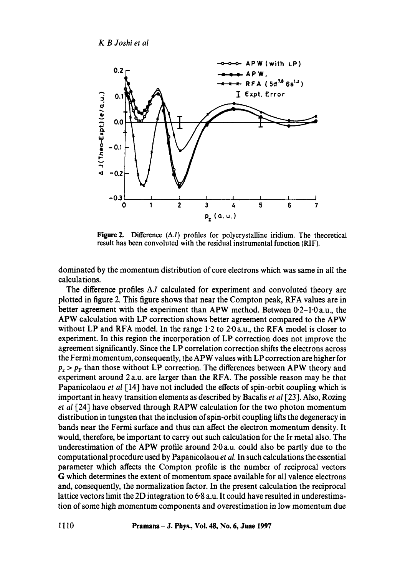

**Figure 2.** Difference  $(\Delta J)$  profiles for polycrystalline iridium. The theoretical result has been convoluted with the residual instrumental function (RIF).

dominated by the momentum distribution of core electrons which was same in all the calculations.

The difference profiles  $\Delta J$  calculated for experiment and convoluted theory are plotted in figure 2. This figure shows that near the Compton peak, RFA values are in better agreement with the experiment than APW method. Between  $0.2-1.0$  a.u., the APW calculation with LP correction shows better agreement compared to the APW without LP and RFA model. In the range  $1.2$  to  $2.0$  a.u., the RFA model is closer to experiment. In this region the incorporation of LP correction does not improve the agreement significantly. Since the LP correlation correction shifts the electrons across the Fermi momentum, consequently, the APW values with LP correction are higher for  $p_z > p_F$  than those without LP correction. The differences between APW theory and experiment around 2 a.u. are larger than the RFA. The possible reason may be that Papanicolaou *et al* [14] have not included the effects of spin-orbit coupling which is important in heavy transition elements as described by Bacalis *et al* [23]. Also, Rozing *et al* [24] have observed through RAPW calculation for the two photon momentum distribution in tungsten that the inclusion of spin-orbit coupling lifts the degeneracy in bands near the Fermi surface and thus can affect the electron momentum density. It would, therefore, be important to carry out such calculation for the Ir metal also. The underestimation of the APW profile around 2.0 a.u. could also be partly due to the computational procedure used by Papanicolaou *et al.* In such calculations the essential parameter which affects the Compton profile is the number of reciprocal vectors G which determines the extent of momentum space available for all valence electrons and, consequently, the normalization factor. In the present calculation the reciprocal lattice vectors limit the 2D integration to 6-8 a.u. It could have resulted in underestimation of some high momentum components and overestimation in low momentum due

**1110 Pramana - J. Phys., Voi. 48, No. 6, June 1997**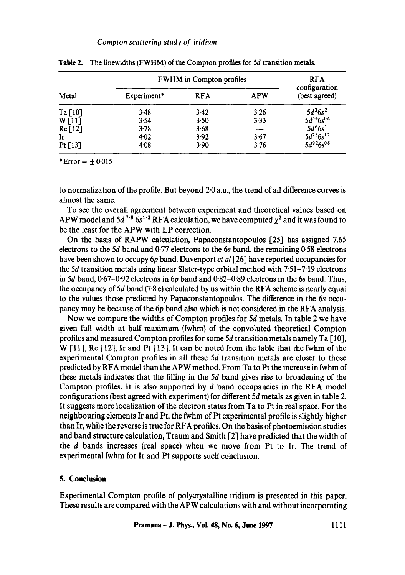|           | <b>FWHM</b> in Compton profiles | <b>RFA</b> |            |                                |  |
|-----------|---------------------------------|------------|------------|--------------------------------|--|
| Metal     | Experiment*                     | <b>RFA</b> | <b>APW</b> | configuration<br>(best agreed) |  |
| Ta $[10]$ | 3.48                            | 3.42       | 3.26       | $5d^36s^2$                     |  |
| W[11]     | 3.54                            | 3.50       | 3.33       | $5d^{5.4}6s^{0.6}$             |  |
| Re [12]   | 3.78                            | 3.68       | ----       | $5d^{6}6s^{1}$                 |  |
| Ir        | 4.02                            | 3.92       | $3 - 67$   | $5d^{7.8}6s^{1.2}$             |  |
| Pt $[13]$ | 4.08                            | 3.90       | 3.76       | $5d^{92}6s^{08}$               |  |

**Table** 2. The linewidths (FWHM) of the Compton profiles for 5d transition metals.

\*Error =  $\pm 0.015$ 

to normalization of the profile. But beyond 2.0 a.u., the trend of all difference curves is almost the same.

To see the overall agreement between experiment and theoretical values based on APW model and  $5d^{7.8}$  6s<sup>1.2</sup> RFA calculation, we have computed  $\chi^2$  and it was found to be the least for the APW with LP correction.

On the basis of RAPW calculation, Papaconstantopoulos [25] has assigned 7.65 electrons to the 5d band and 0.77 electrons to the 6s band, the remaining 0.58 electrons have been shown to occupy 6p band. Davenport *et al* [26] have reported occupancies for the 5d transition metals using linear Slater-type orbital method with  $7.51 - 7.19$  electrons in 5d band,  $0.67-0.92$  electrons in 6p band and  $0.82-0.89$  electrons in the 6s band. Thus, the occupancy of 5d band (7.8 e) calculated by us within the RFA scheme is nearly equal to the values those predicted by Papaconstantopoulos. The difference in the 6s occupancy may be because of the 6p band also which is not considered in the RFA analysis.

Now we compare the widths of Compton profiles for 5d metals. In table 2 we have given full width at half maximum (fwhm) of the convoluted theoretical Compton profiles and measured Compton profiles for some 5d transition metals namely Ta [ 10], W  $\lceil 11 \rceil$ , Re  $\lceil 12 \rceil$ , Ir and Pt  $\lceil 13 \rceil$ . It can be noted from the table that the fwhm of the experimental Compton profiles in all these 5d transition metals are closer to those predicted by RFA model than the APW method. From Ta to Pt the increase in fwhm of these metals indicates that the filling in the 5d band gives rise to broadening of the Compton profiles. It is also supported by  $d$  band occupancies in the RFA model configurations (best agreed with experiment) for different 5d metals as given in table 2. It suggests more localization of the electron states from Ta to Pt in real space. For the neighbouring elements Ir and Pt, the fwhm of Pt experimental profile is slightly higher than Ir, while the reverse is true for RFA profiles. On the basis of photoemission studies and band structure calculation, Traum and Smith [2] have predicted that the width of the d bands increases (real space) when we move from Pt to Ir. The trend of experimental fwhm for Ir and Pt supports such conclusion.

## **5. Conclusion**

Experimental Compton profile of polycrystalline iridium is presented in this paper. These results are compared with the APW calculations with and without incorporating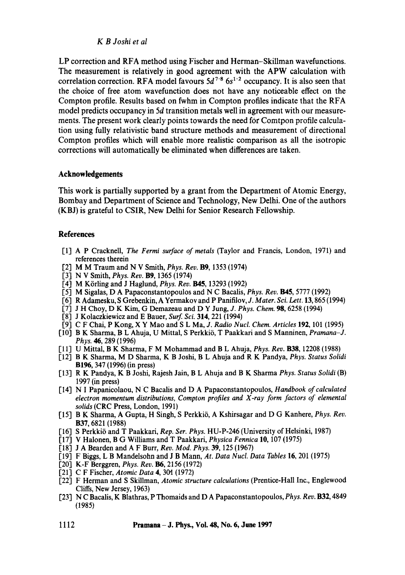### *K B Joshi et al*

LP correction and RFA method using Fischer and Herman-Skillman wavefunctions. The measurement is relatively in good agreement with the APW calculation with correlation correction. RFA model favours  $5d^{7.8}$   $6s^{1.2}$  occupancy. It is also seen that the choice of free atom wavefunction does not have any noticeable effect on the Compton profile. Results based on fwhm in Compton profiles indicate that the RFA model predicts occupancy in 5d transition metals well in agreement with our measurements. The present work clearly points towards the need for Comtpon profile calculation using fully relativistic band structure methods and measurement of directional Compton profiles which will enable more realistic comparison as all the isotropic corrections will automatically be eliminated when differences are taken.

## **Acknowledgements**

This work is partially supported by a grant from the Department of Atomic Energy, Bombay and Department of Science and Technology, New Delhi. One of the authors (KBJ) is grateful to CSIR, New Delhi for Senior Research Fellowship.

#### **References**

- [11 A P Cracknell, *The Fermi surface of metals* (Taylor and Francis, London, 1971) and references therein
- [2] M M Traum and N V Smith, *Phys. Rev.* **B9**, 1353 (1974)
- [3] N V Smith, *Phys. Rev.* Bg, 1365 (1974)
- [4] M Körling and J Haglund, *Phys. Rev.* **B45**, 13293 (1992)
- [5] M Sigalas, D A Papaconstantopoulos and N C Bacalis, *Phys. Rev.* **B45**, 5777 (1992)
- [6] R Adamesku, S Grebenkin, A Yermakov and P Panifilov, J. Mater. Sci. Lett. 13, 865 (1994)
- [71 J H Choy, D K Kim, G Demazeau and D Y Jung, *J. Phys. Chem.* 98, 6258 (1994)
- [8] J Kolaczkiewicz and E Bauer, *Surf. Sci.* 314, 221 (1994)
- [9] C F Chai, P Kong, X Y Mao and S L Ma, *J. Radio Nucl. Chem. Articles* 192, 101 (1995)
- [101 B K Sharma, B L Ahuja, U Mittal, S Perkkii~, T Paakkari and S Manninen, *Pramana-J. Phys. 46,* 289 (1996)
- [111 U Mittal, B K Sharma, F M Mohammad and B L Ahuja, *Phys. Rev.* B38, 12208 (1988)
- [12] B K Sharma, M D Sharma, K B Joshi, B L Ahuja and R K Pandya, *Phys. Status Solidi*  B196, 347 (1996) (in press)
- [131 R K Pandya, K B Joshi, Rajesh Jain, B L Ahuja and B K Sharma *Phys. Status Solidi* (B) 1997 (in press)
- [14] N I Papanicolaou, N C Bacalis and D A Papaconstantopoulos, *Handbook of calculated electron momentum distributions, Compton profiles and X-ray form factors of elemental solids* (CRC Press, London, 1991)
- [15] B K Sharma, A Gupta, H Singh, S Perkki6, A Kshirsagar and D G Kanhere, *Phys. Rev.*  B37, 6821 (1988)
- [16] S Perkkii5 and T Paakkari, *Rep. Set. Phys.* HU-P-246 (University of Helsinki, 1987)
- [17] V Halonen, B G Williams and T Paakkari, *Physica Fennica* 10, 107 (1975)
- [18] J A Bearden and A F Burr, *Rev. Mod. Phys.* 39, 125 (1967)
- [19] F Biggs, L B Mandelsohn and J B Mann, *At. Data Nucl. Data Tables* 16, 201 (1975)
- [20] K-F Berggren, *Phys. Rev.* B6, 2156 (1972)
- [21] C F Fischer, *Atomic Data* 4, 30t (1972)
- [22] F Herman and S Skillman, *Atomic structure calculations* (Prentice-Hall Inc., Englewood Cliffs, New Jersey, 1963)
- [23] N C Bacalis, K Blathras, P Thomaids and D A Papaconstantopoulos, *Phys. Rev.* B32, 4849 (1985)